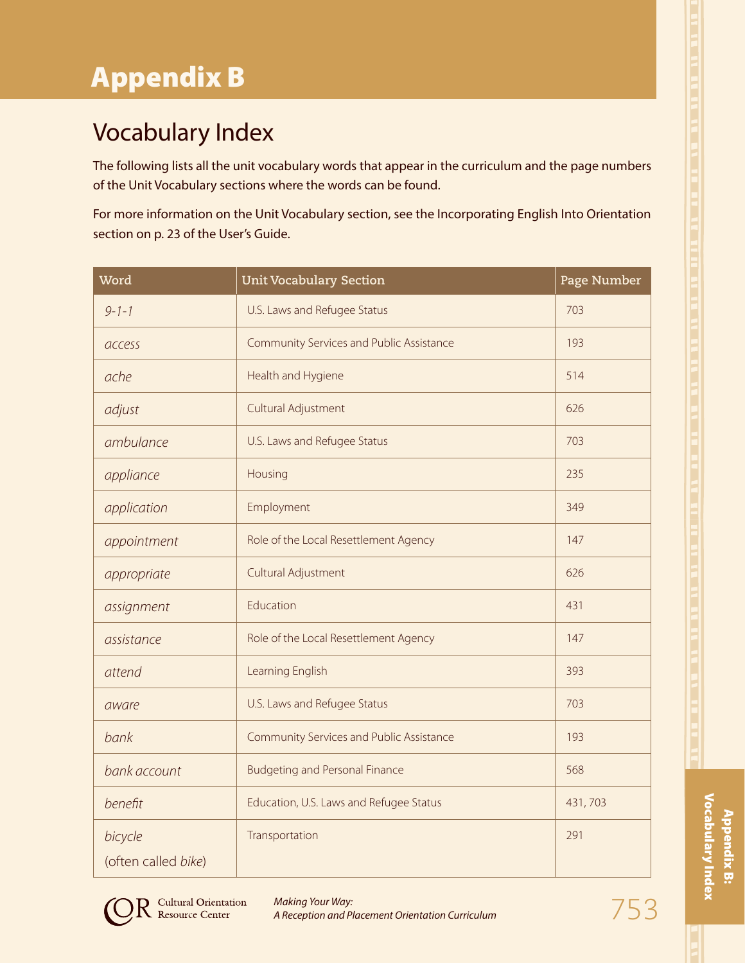## Vocabulary Index

The following lists all the unit vocabulary words that appear in the curriculum and the page numbers of the Unit Vocabulary sections where the words can be found.

For more information on the Unit Vocabulary section, see the Incorporating English Into Orientation section on p. 23 of the User's Guide.

| Word                           | <b>Unit Vocabulary Section</b>           | Page Number |
|--------------------------------|------------------------------------------|-------------|
| $9 - 1 - 1$                    | U.S. Laws and Refugee Status             | 703         |
| access                         | Community Services and Public Assistance | 193         |
| ache                           | Health and Hygiene                       | 514         |
| adjust                         | Cultural Adjustment                      | 626         |
| ambulance                      | U.S. Laws and Refugee Status             | 703         |
| appliance                      | Housing                                  | 235         |
| application                    | Employment                               | 349         |
| appointment                    | Role of the Local Resettlement Agency    | 147         |
| appropriate                    | Cultural Adjustment                      | 626         |
| assignment                     | Education                                | 431         |
| assistance                     | Role of the Local Resettlement Agency    | 147         |
| attend                         | Learning English                         | 393         |
| aware                          | U.S. Laws and Refugee Status             | 703         |
| bank                           | Community Services and Public Assistance | 193         |
| bank account                   | <b>Budgeting and Personal Finance</b>    | 568         |
| benefit                        | Education, U.S. Laws and Refugee Status  | 431,703     |
| bicycle<br>(often called bike) | Transportation                           | 291         |

Appendix B: Vocabulary Index

Appendix B:<br>Vocabulary Index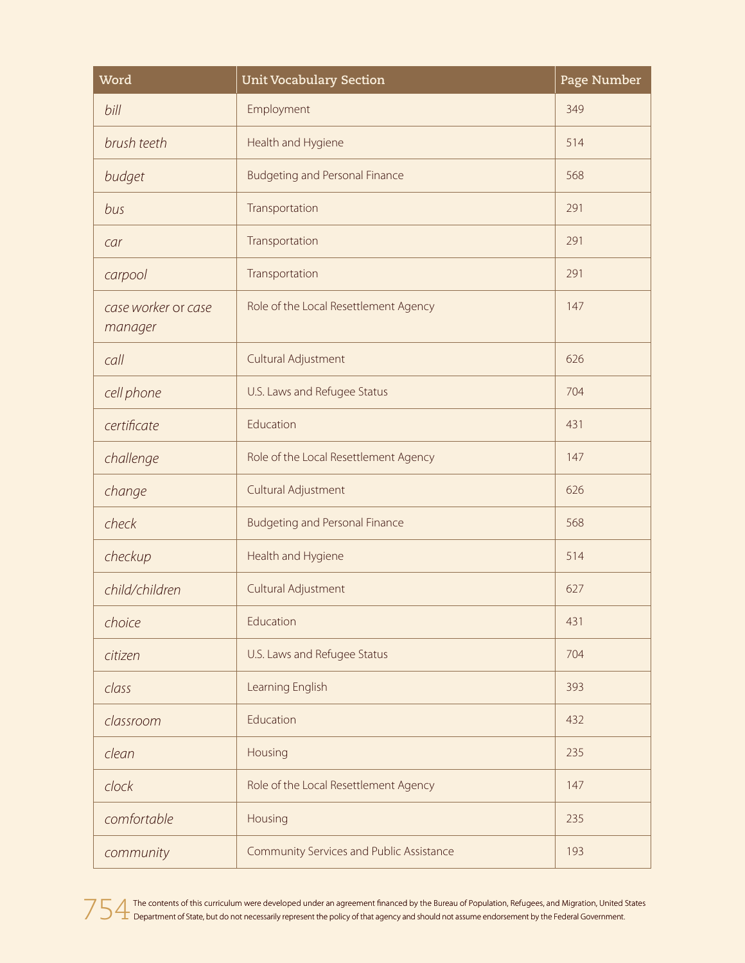| Word                           | <b>Unit Vocabulary Section</b>           | Page Number |
|--------------------------------|------------------------------------------|-------------|
| bill                           | Employment                               | 349         |
| brush teeth                    | Health and Hygiene                       | 514         |
| budget                         | <b>Budgeting and Personal Finance</b>    | 568         |
| bus                            | Transportation                           | 291         |
| car                            | Transportation                           | 291         |
| carpool                        | Transportation                           | 291         |
| case worker or case<br>manager | Role of the Local Resettlement Agency    | 147         |
| call                           | Cultural Adjustment                      | 626         |
| cell phone                     | U.S. Laws and Refugee Status             | 704         |
| certificate                    | Education                                | 431         |
| challenge                      | Role of the Local Resettlement Agency    | 147         |
| change                         | Cultural Adjustment                      | 626         |
| check                          | <b>Budgeting and Personal Finance</b>    | 568         |
| checkup                        | Health and Hygiene                       | 514         |
| child/children                 | Cultural Adjustment                      | 627         |
| choice                         | Education                                | 431         |
| citizen                        | U.S. Laws and Refugee Status             | 704         |
| class                          | Learning English                         | 393         |
| classroom                      | Education                                | 432         |
| clean                          | Housing                                  | 235         |
| clock                          | Role of the Local Resettlement Agency    | 147         |
| comfortable                    | Housing                                  | 235         |
| community                      | Community Services and Public Assistance | 193         |

754 The contents of this curriculum were developed under an agreement financed by the Bureau of Population, Refugees, and Migration, United States<br>The Department of State, but do not necessarily represent the policy of tha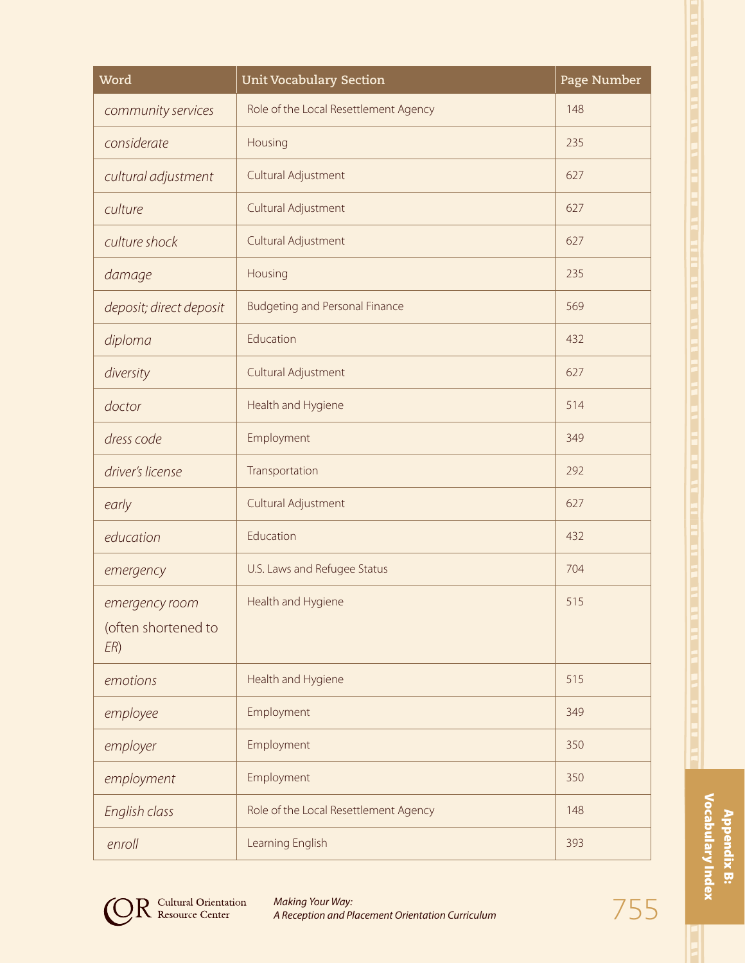| Word                                         | <b>Unit Vocabulary Section</b>        | Page Number |
|----------------------------------------------|---------------------------------------|-------------|
| community services                           | Role of the Local Resettlement Agency | 148         |
| considerate                                  | Housing                               | 235         |
| cultural adjustment                          | Cultural Adjustment                   | 627         |
| culture                                      | Cultural Adjustment                   | 627         |
| culture shock                                | Cultural Adjustment                   | 627         |
| damage                                       | Housing                               | 235         |
| deposit; direct deposit                      | <b>Budgeting and Personal Finance</b> | 569         |
| diploma                                      | Education                             | 432         |
| diversity                                    | Cultural Adjustment                   | 627         |
| doctor                                       | Health and Hygiene                    | 514         |
| dress code                                   | Employment                            | 349         |
| driver's license                             | Transportation                        | 292         |
| early                                        | Cultural Adjustment                   | 627         |
| education                                    | Education                             | 432         |
| emergency                                    | U.S. Laws and Refugee Status          | 704         |
| emergency room<br>(often shortened to<br>ER) | Health and Hygiene                    | 515         |
| emotions                                     | Health and Hygiene                    | 515         |
| employee                                     | Employment                            | 349         |
| employer                                     | Employment                            | 350         |
| employment                                   | Employment                            | 350         |
| English class                                | Role of the Local Resettlement Agency | 148         |
| enroll                                       | Learning English                      | 393         |

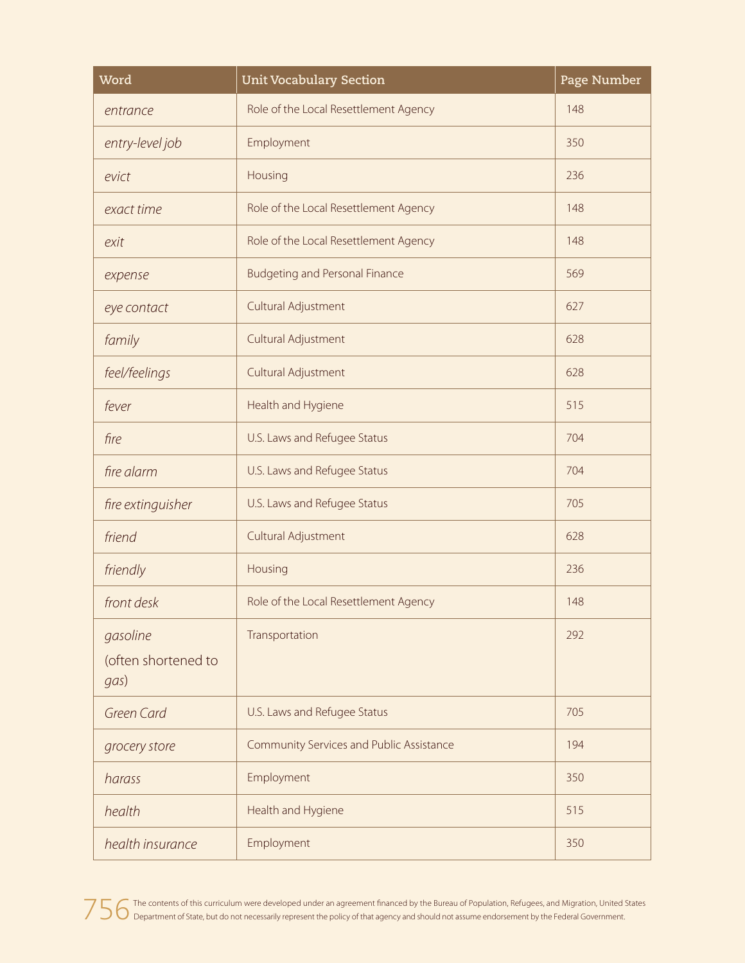| Word                                    | <b>Unit Vocabulary Section</b>           | Page Number |
|-----------------------------------------|------------------------------------------|-------------|
| entrance                                | Role of the Local Resettlement Agency    | 148         |
| entry-level job                         | Employment                               | 350         |
| evict                                   | Housing                                  | 236         |
| exact time                              | Role of the Local Resettlement Agency    | 148         |
| exit                                    | Role of the Local Resettlement Agency    | 148         |
| expense                                 | <b>Budgeting and Personal Finance</b>    | 569         |
| eye contact                             | Cultural Adjustment                      | 627         |
| family                                  | Cultural Adjustment                      | 628         |
| feel/feelings                           | Cultural Adjustment                      | 628         |
| fever                                   | Health and Hygiene                       | 515         |
| fire                                    | U.S. Laws and Refugee Status             | 704         |
| fire alarm                              | U.S. Laws and Refugee Status             | 704         |
| fire extinguisher                       | U.S. Laws and Refugee Status             | 705         |
| friend                                  | Cultural Adjustment                      | 628         |
| friendly                                | Housing                                  | 236         |
| front desk                              | Role of the Local Resettlement Agency    | 148         |
| gasoline<br>(often shortened to<br>gas) | Transportation                           | 292         |
| Green Card                              | U.S. Laws and Refugee Status             | 705         |
| grocery store                           | Community Services and Public Assistance | 194         |
| harass                                  | Employment                               | 350         |
| health                                  | Health and Hygiene                       | 515         |
| health insurance                        | Employment                               | 350         |

756 The contents of this curriculum were developed under an agreement financed by the Bureau of Population, Refugees, and Migration, United States<br>756 Department of State, but do not necessarily represent the policy of tha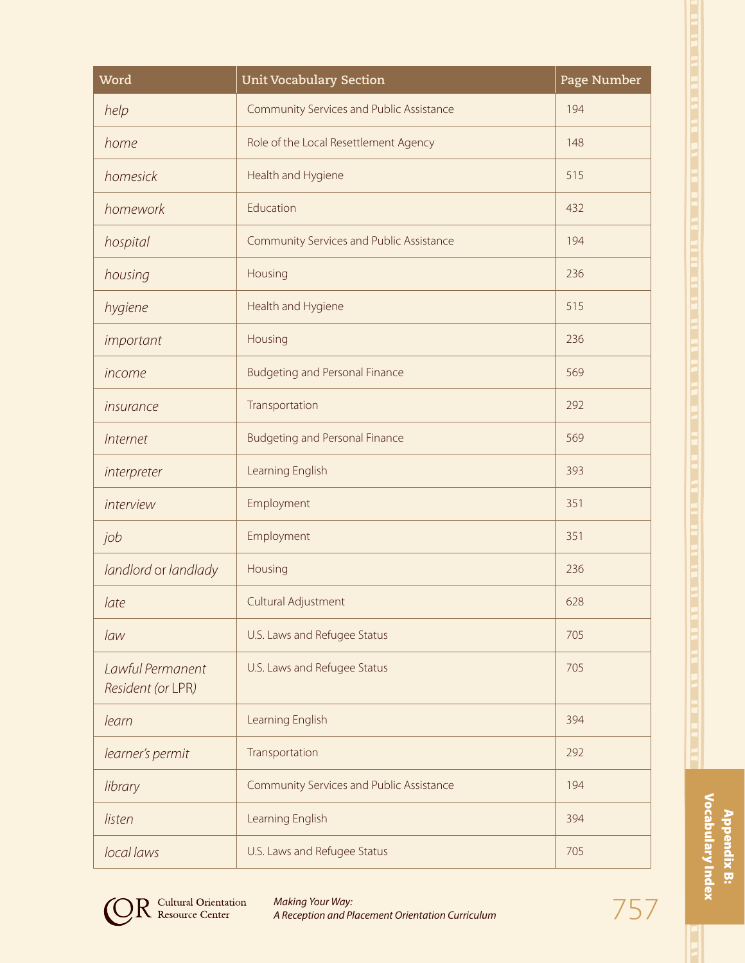| Word                                  | <b>Unit Vocabulary Section</b>           | Page Number |
|---------------------------------------|------------------------------------------|-------------|
| help                                  | Community Services and Public Assistance | 194         |
| home                                  | Role of the Local Resettlement Agency    | 148         |
| homesick                              | Health and Hygiene                       | 515         |
| homework                              | Education                                | 432         |
| hospital                              | Community Services and Public Assistance | 194         |
| housing                               | Housing                                  | 236         |
| hygiene                               | Health and Hygiene                       | 515         |
| important                             | Housing                                  | 236         |
| income                                | <b>Budgeting and Personal Finance</b>    | 569         |
| insurance                             | Transportation                           | 292         |
| Internet                              | <b>Budgeting and Personal Finance</b>    | 569         |
| interpreter                           | Learning English                         | 393         |
| interview                             | Employment                               | 351         |
| job                                   | Employment                               | 351         |
| landlord or landlady                  | Housing                                  | 236         |
| late                                  | Cultural Adjustment                      | 628         |
| law                                   | U.S. Laws and Refugee Status             | 705         |
| Lawful Permanent<br>Resident (or LPR) | U.S. Laws and Refugee Status             | 705         |
| learn                                 | Learning English                         | 394         |
| learner's permit                      | Transportation                           | 292         |
| library                               | Community Services and Public Assistance | 194         |
| listen                                | Learning English                         | 394         |
| local laws                            | U.S. Laws and Refugee Status             | 705         |

Appendix B:<br>Vocabulary Index Vocabulary Index Appendix B:

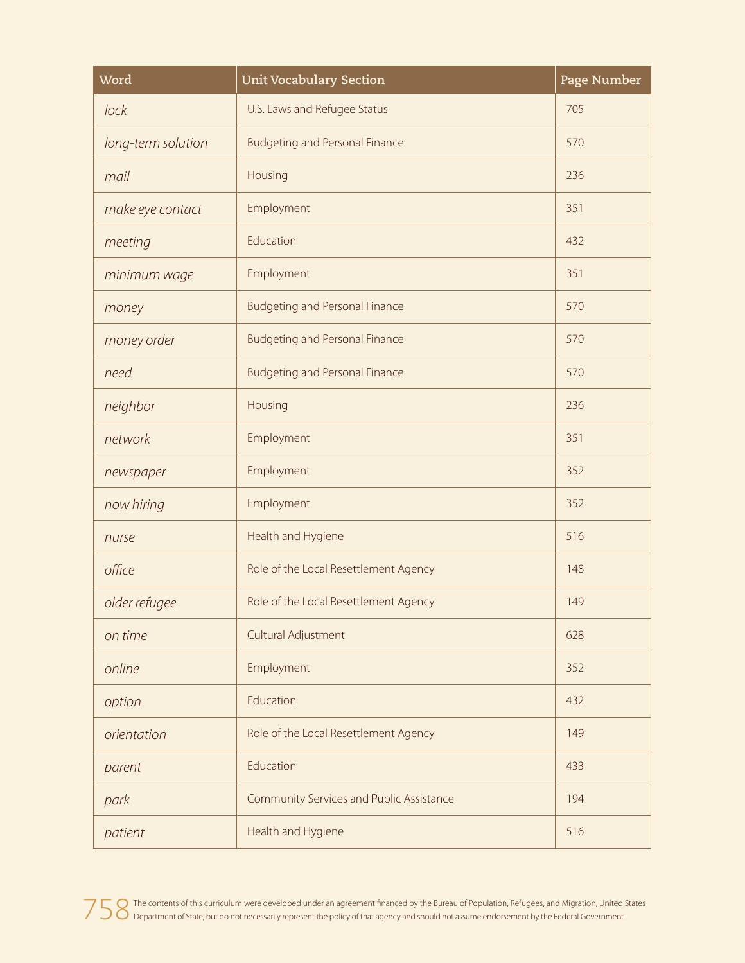| Word               | <b>Unit Vocabulary Section</b>           | Page Number |
|--------------------|------------------------------------------|-------------|
| lock               | U.S. Laws and Refugee Status             | 705         |
| long-term solution | <b>Budgeting and Personal Finance</b>    | 570         |
| mail               | Housing                                  | 236         |
| make eye contact   | Employment                               | 351         |
| meeting            | Education                                | 432         |
| minimum wage       | Employment                               | 351         |
| money              | <b>Budgeting and Personal Finance</b>    | 570         |
| money order        | <b>Budgeting and Personal Finance</b>    | 570         |
| need               | <b>Budgeting and Personal Finance</b>    | 570         |
| neighbor           | Housing                                  | 236         |
| network            | Employment                               | 351         |
| newspaper          | Employment                               | 352         |
| now hiring         | Employment                               | 352         |
| nurse              | Health and Hygiene                       | 516         |
| office             | Role of the Local Resettlement Agency    | 148         |
| older refugee      | Role of the Local Resettlement Agency    | 149         |
| on time            | Cultural Adjustment                      | 628         |
| online             | Employment                               | 352         |
| option             | Education                                | 432         |
| orientation        | Role of the Local Resettlement Agency    | 149         |
| parent             | Education                                | 433         |
| park               | Community Services and Public Assistance | 194         |
| patient            | Health and Hygiene                       | 516         |

758 The contents of this curriculum were developed under an agreement financed by the Bureau of Population, Refugees, and Migration, United States<br>758 Department of State, but do not necessarily represent the policy of tha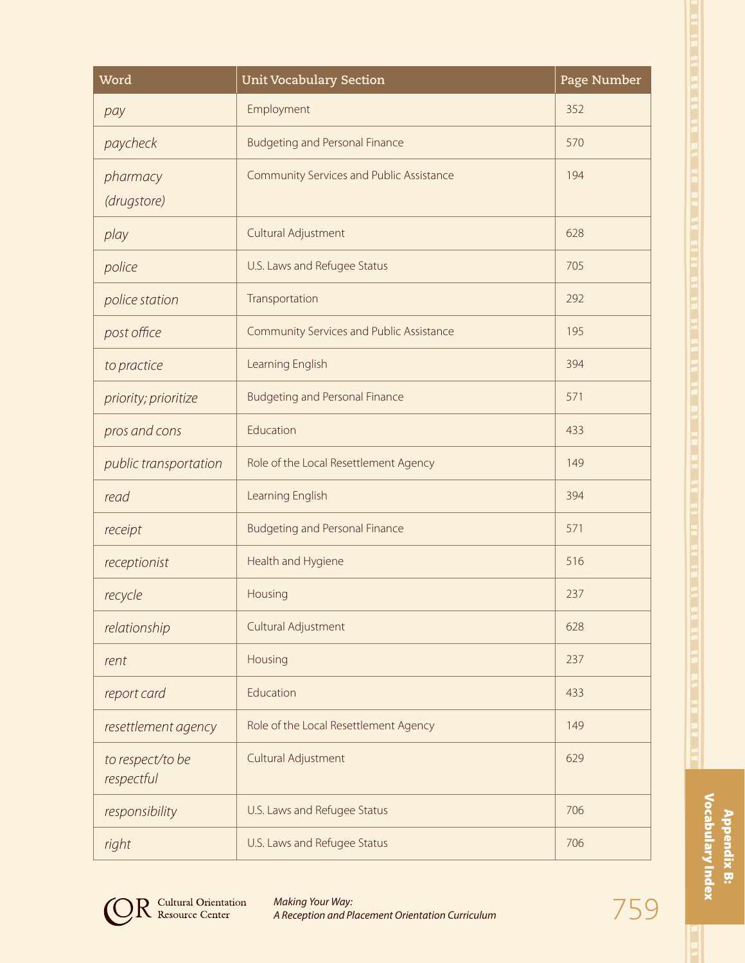| Word                           | <b>Unit Vocabulary Section</b>           | Page Number |
|--------------------------------|------------------------------------------|-------------|
| pay                            | Employment                               | 352         |
| paycheck                       | <b>Budgeting and Personal Finance</b>    | 570         |
| pharmacy                       | Community Services and Public Assistance | 194         |
| (drugstore)                    |                                          |             |
| play                           | Cultural Adjustment                      | 628         |
| police                         | U.S. Laws and Refugee Status             | 705         |
| police station                 | Transportation                           | 292         |
| post office                    | Community Services and Public Assistance | 195         |
| to practice                    | Learning English                         | 394         |
| priority; prioritize           | <b>Budgeting and Personal Finance</b>    | 571         |
| pros and cons                  | Education                                | 433         |
| public transportation          | Role of the Local Resettlement Agency    | 149         |
| read                           | Learning English                         | 394         |
| receipt                        | <b>Budgeting and Personal Finance</b>    | 571         |
| receptionist                   | Health and Hygiene                       | 516         |
| recycle                        | Housing                                  | 237         |
| relationship                   | Cultural Adjustment                      | 628         |
| rent                           | Housing                                  | 237         |
| report card                    | Education                                | 433         |
| resettlement agency            | Role of the Local Resettlement Agency    | 149         |
| to respect/to be<br>respectful | Cultural Adjustment                      | 629         |
| responsibility                 | U.S. Laws and Refugee Status             | 706         |
| right                          | U.S. Laws and Refugee Status             | 706         |

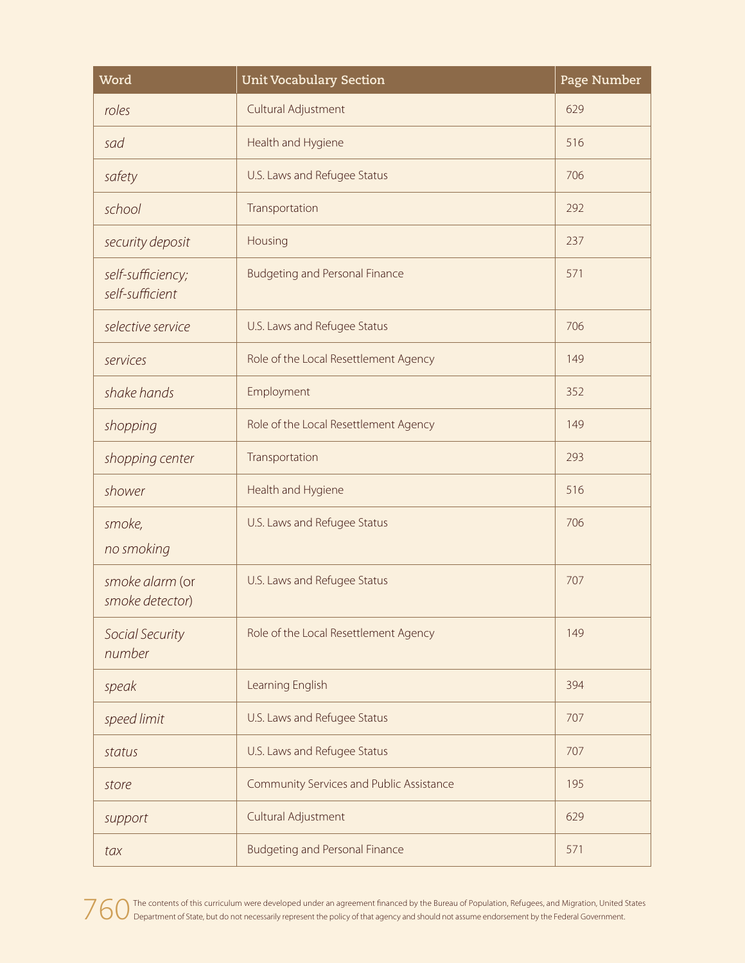| Word                                 | <b>Unit Vocabulary Section</b>           | Page Number |
|--------------------------------------|------------------------------------------|-------------|
| roles                                | Cultural Adjustment                      | 629         |
| sad                                  | Health and Hygiene                       | 516         |
| safety                               | U.S. Laws and Refugee Status             | 706         |
| school                               | Transportation                           | 292         |
| security deposit                     | Housing                                  | 237         |
| self-sufficiency;<br>self-sufficient | <b>Budgeting and Personal Finance</b>    | 571         |
| selective service                    | U.S. Laws and Refugee Status             | 706         |
| services                             | Role of the Local Resettlement Agency    | 149         |
| shake hands                          | Employment                               | 352         |
| shopping                             | Role of the Local Resettlement Agency    | 149         |
| shopping center                      | Transportation                           | 293         |
| shower                               | Health and Hygiene                       | 516         |
| smoke,<br>no smoking                 | U.S. Laws and Refugee Status             | 706         |
| smoke alarm (or<br>smoke detector)   | U.S. Laws and Refugee Status             | 707         |
| Social Security<br>number            | Role of the Local Resettlement Agency    | 149         |
| speak                                | Learning English                         | 394         |
| speed limit                          | U.S. Laws and Refugee Status             | 707         |
| status                               | U.S. Laws and Refugee Status             | 707         |
| store                                | Community Services and Public Assistance | 195         |
| support                              | Cultural Adjustment                      | 629         |
| tax                                  | <b>Budgeting and Personal Finance</b>    | 571         |

760 The contents of this curriculum were developed under an agreement financed by the Bureau of Population, Refugees, and Migration, United States<br>760 Department of State, but do not necessarily represent the policy of tha